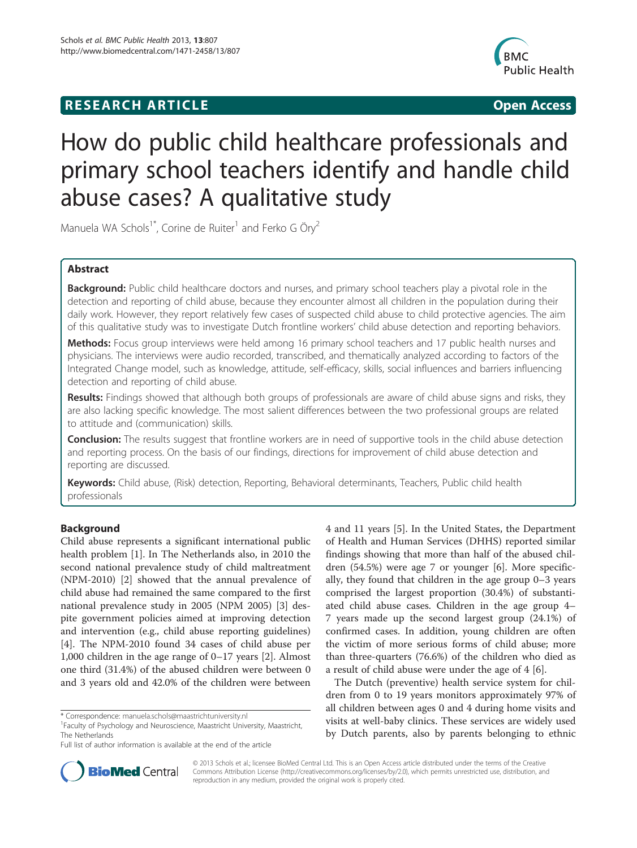## **RESEARCH ARTICLE Example 2018 12:00 Department of the CONNECTION CONNECTION CONNECTION CONNECTION**



# How do public child healthcare professionals and primary school teachers identify and handle child abuse cases? A qualitative study

Manuela WA Schols<sup>1\*</sup>, Corine de Ruiter<sup>1</sup> and Ferko G Öry<sup>2</sup>

### Abstract

Background: Public child healthcare doctors and nurses, and primary school teachers play a pivotal role in the detection and reporting of child abuse, because they encounter almost all children in the population during their daily work. However, they report relatively few cases of suspected child abuse to child protective agencies. The aim of this qualitative study was to investigate Dutch frontline workers' child abuse detection and reporting behaviors.

Methods: Focus group interviews were held among 16 primary school teachers and 17 public health nurses and physicians. The interviews were audio recorded, transcribed, and thematically analyzed according to factors of the Integrated Change model, such as knowledge, attitude, self-efficacy, skills, social influences and barriers influencing detection and reporting of child abuse.

Results: Findings showed that although both groups of professionals are aware of child abuse signs and risks, they are also lacking specific knowledge. The most salient differences between the two professional groups are related to attitude and (communication) skills.

**Conclusion:** The results suggest that frontline workers are in need of supportive tools in the child abuse detection and reporting process. On the basis of our findings, directions for improvement of child abuse detection and reporting are discussed.

Keywords: Child abuse, (Risk) detection, Reporting, Behavioral determinants, Teachers, Public child health professionals

### Background

Child abuse represents a significant international public health problem [\[1](#page-14-0)]. In The Netherlands also, in 2010 the second national prevalence study of child maltreatment (NPM-2010) [[2\]](#page-14-0) showed that the annual prevalence of child abuse had remained the same compared to the first national prevalence study in 2005 (NPM 2005) [\[3](#page-14-0)] despite government policies aimed at improving detection and intervention (e.g., child abuse reporting guidelines) [[4\]](#page-14-0). The NPM-2010 found 34 cases of child abuse per 1,000 children in the age range of 0–17 years [[2\]](#page-14-0). Almost one third (31.4%) of the abused children were between 0 and 3 years old and 42.0% of the children were between

4 and 11 years [\[5](#page-14-0)]. In the United States, the Department of Health and Human Services (DHHS) reported similar findings showing that more than half of the abused children (54.5%) were age 7 or younger [\[6](#page-14-0)]. More specifically, they found that children in the age group 0–3 years comprised the largest proportion (30.4%) of substantiated child abuse cases. Children in the age group 4– 7 years made up the second largest group (24.1%) of confirmed cases. In addition, young children are often the victim of more serious forms of child abuse; more than three-quarters (76.6%) of the children who died as a result of child abuse were under the age of 4 [\[6](#page-14-0)].

The Dutch (preventive) health service system for children from 0 to 19 years monitors approximately 97% of all children between ages 0 and 4 during home visits and visits at well-baby clinics. These services are widely used by Dutch parents, also by parents belonging to ethnic



© 2013 Schols et al.; licensee BioMed Central Ltd. This is an Open Access article distributed under the terms of the Creative Commons Attribution License [\(http://creativecommons.org/licenses/by/2.0\)](http://creativecommons.org/licenses/by/2.0), which permits unrestricted use, distribution, and reproduction in any medium, provided the original work is properly cited.

<sup>\*</sup> Correspondence: [manuela.schols@maastrichtuniversity.nl](mailto:manuela.schols@maastrichtuniversity.nl) <sup>1</sup>

Faculty of Psychology and Neuroscience, Maastricht University, Maastricht, The Netherlands

Full list of author information is available at the end of the article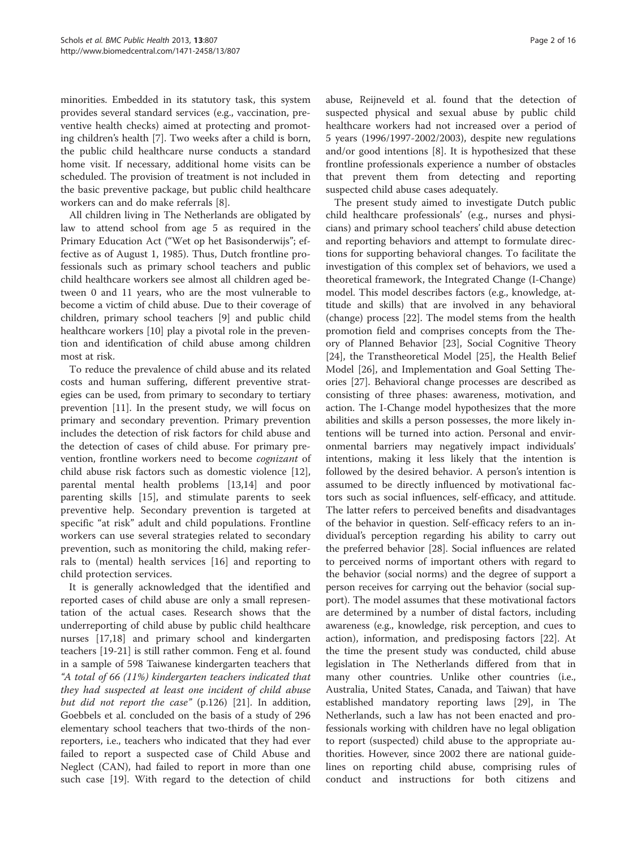minorities. Embedded in its statutory task, this system provides several standard services (e.g., vaccination, preventive health checks) aimed at protecting and promoting children's health [\[7](#page-14-0)]. Two weeks after a child is born, the public child healthcare nurse conducts a standard home visit. If necessary, additional home visits can be scheduled. The provision of treatment is not included in the basic preventive package, but public child healthcare workers can and do make referrals [[8\]](#page-14-0).

All children living in The Netherlands are obligated by law to attend school from age 5 as required in the Primary Education Act ("Wet op het Basisonderwijs"; effective as of August 1, 1985). Thus, Dutch frontline professionals such as primary school teachers and public child healthcare workers see almost all children aged between 0 and 11 years, who are the most vulnerable to become a victim of child abuse. Due to their coverage of children, primary school teachers [\[9](#page-14-0)] and public child healthcare workers [\[10](#page-14-0)] play a pivotal role in the prevention and identification of child abuse among children most at risk.

To reduce the prevalence of child abuse and its related costs and human suffering, different preventive strategies can be used, from primary to secondary to tertiary prevention [\[11\]](#page-14-0). In the present study, we will focus on primary and secondary prevention. Primary prevention includes the detection of risk factors for child abuse and the detection of cases of child abuse. For primary prevention, frontline workers need to become cognizant of child abuse risk factors such as domestic violence [\[12](#page-14-0)], parental mental health problems [[13,](#page-14-0)[14\]](#page-15-0) and poor parenting skills [[15\]](#page-15-0), and stimulate parents to seek preventive help. Secondary prevention is targeted at specific "at risk" adult and child populations. Frontline workers can use several strategies related to secondary prevention, such as monitoring the child, making referrals to (mental) health services [[16\]](#page-15-0) and reporting to child protection services.

It is generally acknowledged that the identified and reported cases of child abuse are only a small representation of the actual cases. Research shows that the underreporting of child abuse by public child healthcare nurses [[17,18\]](#page-15-0) and primary school and kindergarten teachers [\[19](#page-15-0)-[21\]](#page-15-0) is still rather common. Feng et al. found in a sample of 598 Taiwanese kindergarten teachers that "A total of 66 (11%) kindergarten teachers indicated that they had suspected at least one incident of child abuse but did not report the case" (p.126) [[21\]](#page-15-0). In addition, Goebbels et al. concluded on the basis of a study of 296 elementary school teachers that two-thirds of the nonreporters, i.e., teachers who indicated that they had ever failed to report a suspected case of Child Abuse and Neglect (CAN), had failed to report in more than one such case [[19\]](#page-15-0). With regard to the detection of child

abuse, Reijneveld et al. found that the detection of suspected physical and sexual abuse by public child healthcare workers had not increased over a period of 5 years (1996/1997-2002/2003), despite new regulations and/or good intentions [\[8](#page-14-0)]. It is hypothesized that these frontline professionals experience a number of obstacles that prevent them from detecting and reporting suspected child abuse cases adequately.

The present study aimed to investigate Dutch public child healthcare professionals' (e.g., nurses and physicians) and primary school teachers' child abuse detection and reporting behaviors and attempt to formulate directions for supporting behavioral changes. To facilitate the investigation of this complex set of behaviors, we used a theoretical framework, the Integrated Change (I-Change) model. This model describes factors (e.g., knowledge, attitude and skills) that are involved in any behavioral (change) process [[22\]](#page-15-0). The model stems from the health promotion field and comprises concepts from the Theory of Planned Behavior [\[23\]](#page-15-0), Social Cognitive Theory [[24\]](#page-15-0), the Transtheoretical Model [\[25](#page-15-0)], the Health Belief Model [\[26\]](#page-15-0), and Implementation and Goal Setting Theories [\[27](#page-15-0)]. Behavioral change processes are described as consisting of three phases: awareness, motivation, and action. The I-Change model hypothesizes that the more abilities and skills a person possesses, the more likely intentions will be turned into action. Personal and environmental barriers may negatively impact individuals' intentions, making it less likely that the intention is followed by the desired behavior. A person's intention is assumed to be directly influenced by motivational factors such as social influences, self-efficacy, and attitude. The latter refers to perceived benefits and disadvantages of the behavior in question. Self-efficacy refers to an individual's perception regarding his ability to carry out the preferred behavior [[28\]](#page-15-0). Social influences are related to perceived norms of important others with regard to the behavior (social norms) and the degree of support a person receives for carrying out the behavior (social support). The model assumes that these motivational factors are determined by a number of distal factors, including awareness (e.g., knowledge, risk perception, and cues to action), information, and predisposing factors [\[22](#page-15-0)]. At the time the present study was conducted, child abuse legislation in The Netherlands differed from that in many other countries. Unlike other countries (i.e., Australia, United States, Canada, and Taiwan) that have established mandatory reporting laws [[29](#page-15-0)], in The Netherlands, such a law has not been enacted and professionals working with children have no legal obligation to report (suspected) child abuse to the appropriate authorities. However, since 2002 there are national guidelines on reporting child abuse, comprising rules of conduct and instructions for both citizens and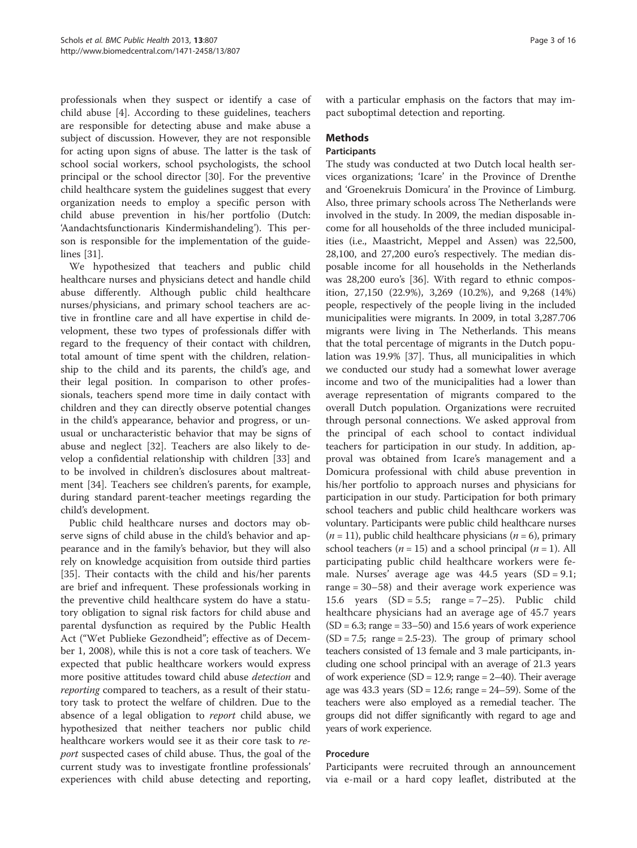professionals when they suspect or identify a case of child abuse [\[4](#page-14-0)]. According to these guidelines, teachers are responsible for detecting abuse and make abuse a subject of discussion. However, they are not responsible for acting upon signs of abuse. The latter is the task of school social workers, school psychologists, the school principal or the school director [[30\]](#page-15-0). For the preventive child healthcare system the guidelines suggest that every organization needs to employ a specific person with child abuse prevention in his/her portfolio (Dutch: 'Aandachtsfunctionaris Kindermishandeling'). This person is responsible for the implementation of the guidelines [[31](#page-15-0)].

We hypothesized that teachers and public child healthcare nurses and physicians detect and handle child abuse differently. Although public child healthcare nurses/physicians, and primary school teachers are active in frontline care and all have expertise in child development, these two types of professionals differ with regard to the frequency of their contact with children, total amount of time spent with the children, relationship to the child and its parents, the child's age, and their legal position. In comparison to other professionals, teachers spend more time in daily contact with children and they can directly observe potential changes in the child's appearance, behavior and progress, or unusual or uncharacteristic behavior that may be signs of abuse and neglect [\[32](#page-15-0)]. Teachers are also likely to develop a confidential relationship with children [\[33](#page-15-0)] and to be involved in children's disclosures about maltreatment [[34\]](#page-15-0). Teachers see children's parents, for example, during standard parent-teacher meetings regarding the child's development.

Public child healthcare nurses and doctors may observe signs of child abuse in the child's behavior and appearance and in the family's behavior, but they will also rely on knowledge acquisition from outside third parties [[35\]](#page-15-0). Their contacts with the child and his/her parents are brief and infrequent. These professionals working in the preventive child healthcare system do have a statutory obligation to signal risk factors for child abuse and parental dysfunction as required by the Public Health Act ("Wet Publieke Gezondheid"; effective as of December 1, 2008), while this is not a core task of teachers. We expected that public healthcare workers would express more positive attitudes toward child abuse *detection* and reporting compared to teachers, as a result of their statutory task to protect the welfare of children. Due to the absence of a legal obligation to report child abuse, we hypothesized that neither teachers nor public child healthcare workers would see it as their core task to report suspected cases of child abuse. Thus, the goal of the current study was to investigate frontline professionals' experiences with child abuse detecting and reporting, with a particular emphasis on the factors that may impact suboptimal detection and reporting.

### Methods

### **Participants**

The study was conducted at two Dutch local health services organizations; 'Icare' in the Province of Drenthe and 'Groenekruis Domicura' in the Province of Limburg. Also, three primary schools across The Netherlands were involved in the study. In 2009, the median disposable income for all households of the three included municipalities (i.e., Maastricht, Meppel and Assen) was 22,500, 28,100, and 27,200 euro's respectively. The median disposable income for all households in the Netherlands was 28,200 euro's [\[36\]](#page-15-0). With regard to ethnic composition, 27,150 (22.9%), 3,269 (10.2%), and 9,268 (14%) people, respectively of the people living in the included municipalities were migrants. In 2009, in total 3,287.706 migrants were living in The Netherlands. This means that the total percentage of migrants in the Dutch population was 19.9% [[37\]](#page-15-0). Thus, all municipalities in which we conducted our study had a somewhat lower average income and two of the municipalities had a lower than average representation of migrants compared to the overall Dutch population. Organizations were recruited through personal connections. We asked approval from the principal of each school to contact individual teachers for participation in our study. In addition, approval was obtained from Icare's management and a Domicura professional with child abuse prevention in his/her portfolio to approach nurses and physicians for participation in our study. Participation for both primary school teachers and public child healthcare workers was voluntary. Participants were public child healthcare nurses  $(n = 11)$ , public child healthcare physicians  $(n = 6)$ , primary school teachers ( $n = 15$ ) and a school principal ( $n = 1$ ). All participating public child healthcare workers were female. Nurses' average age was 44.5 years (SD = 9.1; range = 30–58) and their average work experience was 15.6 years  $(SD = 5.5; \text{range} = 7-25)$ . Public child healthcare physicians had an average age of 45.7 years  $(SD = 6.3; range = 33–50)$  and 15.6 years of work experience  $(SD = 7.5;$  range = 2.5-23). The group of primary school teachers consisted of 13 female and 3 male participants, including one school principal with an average of 21.3 years of work experience (SD = 12.9; range =  $2-40$ ). Their average age was  $43.3$  years  $(SD = 12.6;$  range  $= 24-59$ ). Some of the teachers were also employed as a remedial teacher. The groups did not differ significantly with regard to age and years of work experience.

### Procedure

Participants were recruited through an announcement via e-mail or a hard copy leaflet, distributed at the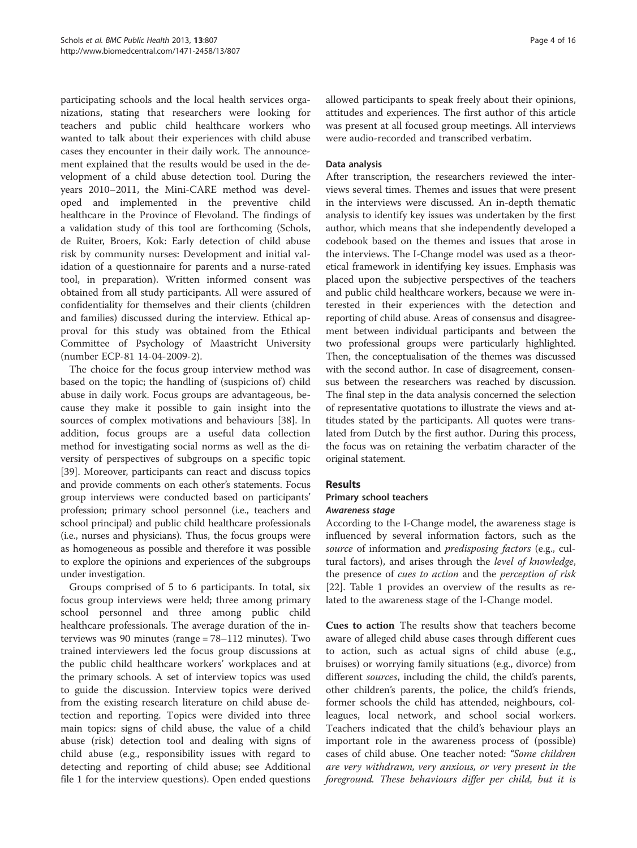participating schools and the local health services organizations, stating that researchers were looking for teachers and public child healthcare workers who wanted to talk about their experiences with child abuse cases they encounter in their daily work. The announcement explained that the results would be used in the development of a child abuse detection tool. During the years 2010–2011, the Mini-CARE method was developed and implemented in the preventive child healthcare in the Province of Flevoland. The findings of a validation study of this tool are forthcoming (Schols, de Ruiter, Broers, Kok: Early detection of child abuse risk by community nurses: Development and initial validation of a questionnaire for parents and a nurse-rated tool, in preparation). Written informed consent was obtained from all study participants. All were assured of confidentiality for themselves and their clients (children and families) discussed during the interview. Ethical approval for this study was obtained from the Ethical Committee of Psychology of Maastricht University (number ECP-81 14-04-2009-2).

The choice for the focus group interview method was based on the topic; the handling of (suspicions of) child abuse in daily work. Focus groups are advantageous, because they make it possible to gain insight into the sources of complex motivations and behaviours [[38\]](#page-15-0). In addition, focus groups are a useful data collection method for investigating social norms as well as the diversity of perspectives of subgroups on a specific topic [[39\]](#page-15-0). Moreover, participants can react and discuss topics and provide comments on each other's statements. Focus group interviews were conducted based on participants' profession; primary school personnel (i.e., teachers and school principal) and public child healthcare professionals (i.e., nurses and physicians). Thus, the focus groups were as homogeneous as possible and therefore it was possible to explore the opinions and experiences of the subgroups under investigation.

Groups comprised of 5 to 6 participants. In total, six focus group interviews were held; three among primary school personnel and three among public child healthcare professionals. The average duration of the interviews was 90 minutes (range = 78–112 minutes). Two trained interviewers led the focus group discussions at the public child healthcare workers' workplaces and at the primary schools. A set of interview topics was used to guide the discussion. Interview topics were derived from the existing research literature on child abuse detection and reporting. Topics were divided into three main topics: signs of child abuse, the value of a child abuse (risk) detection tool and dealing with signs of child abuse (e.g., responsibility issues with regard to detecting and reporting of child abuse; see Additional file [1](#page-14-0) for the interview questions). Open ended questions allowed participants to speak freely about their opinions, attitudes and experiences. The first author of this article was present at all focused group meetings. All interviews were audio-recorded and transcribed verbatim.

### Data analysis

After transcription, the researchers reviewed the interviews several times. Themes and issues that were present in the interviews were discussed. An in-depth thematic analysis to identify key issues was undertaken by the first author, which means that she independently developed a codebook based on the themes and issues that arose in the interviews. The I-Change model was used as a theoretical framework in identifying key issues. Emphasis was placed upon the subjective perspectives of the teachers and public child healthcare workers, because we were interested in their experiences with the detection and reporting of child abuse. Areas of consensus and disagreement between individual participants and between the two professional groups were particularly highlighted. Then, the conceptualisation of the themes was discussed with the second author. In case of disagreement, consensus between the researchers was reached by discussion. The final step in the data analysis concerned the selection of representative quotations to illustrate the views and attitudes stated by the participants. All quotes were translated from Dutch by the first author. During this process, the focus was on retaining the verbatim character of the original statement.

### **Results**

## Primary school teachers

According to the I-Change model, the awareness stage is influenced by several information factors, such as the source of information and *predisposing factors* (e.g., cultural factors), and arises through the level of knowledge, the presence of cues to action and the perception of risk [[22\]](#page-15-0). Table [1](#page-4-0) provides an overview of the results as related to the awareness stage of the I-Change model.

Cues to action The results show that teachers become aware of alleged child abuse cases through different cues to action, such as actual signs of child abuse (e.g., bruises) or worrying family situations (e.g., divorce) from different *sources*, including the child, the child's parents, other children's parents, the police, the child's friends, former schools the child has attended, neighbours, colleagues, local network, and school social workers. Teachers indicated that the child's behaviour plays an important role in the awareness process of (possible) cases of child abuse. One teacher noted: "Some children are very withdrawn, very anxious, or very present in the foreground. These behaviours differ per child, but it is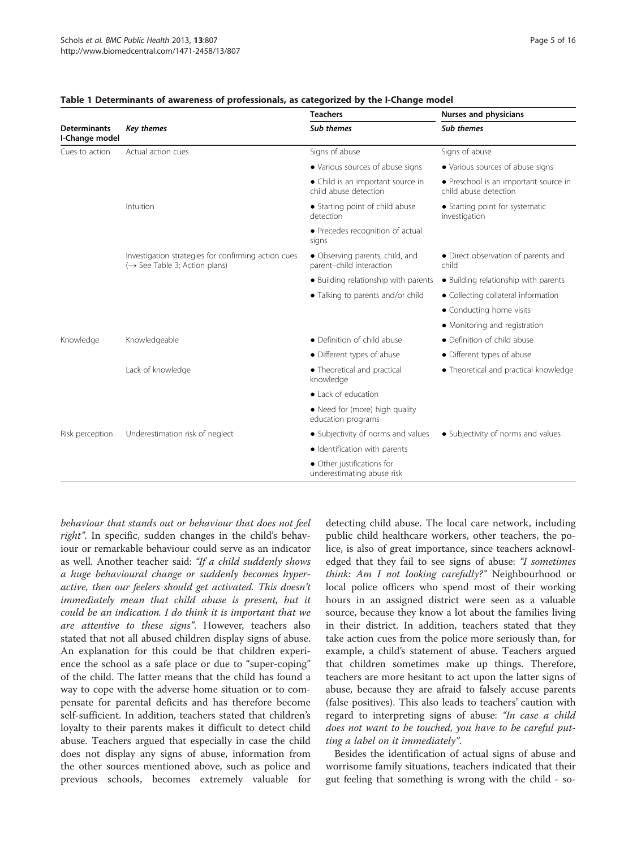|                                       |                                                                                                  | <b>Teachers</b>                                             | Nurses and physicians                                          |  |
|---------------------------------------|--------------------------------------------------------------------------------------------------|-------------------------------------------------------------|----------------------------------------------------------------|--|
| <b>Determinants</b><br>I-Change model | Key themes                                                                                       | Sub themes                                                  | Sub themes                                                     |  |
| Cues to action                        | Actual action cues                                                                               | Signs of abuse                                              | Signs of abuse                                                 |  |
|                                       |                                                                                                  | • Various sources of abuse signs                            | • Various sources of abuse signs                               |  |
|                                       |                                                                                                  | • Child is an important source in<br>child abuse detection  | • Preschool is an important source in<br>child abuse detection |  |
|                                       | Intuition                                                                                        | • Starting point of child abuse<br>detection                | • Starting point for systematic<br>investigation               |  |
|                                       |                                                                                                  | • Precedes recognition of actual<br>signs                   |                                                                |  |
|                                       | Investigation strategies for confirming action cues<br>$(\rightarrow$ See Table 3; Action plans) | • Observing parents, child, and<br>parent-child interaction | • Direct observation of parents and<br>child                   |  |
|                                       |                                                                                                  | · Building relationship with parents                        | • Building relationship with parents                           |  |
|                                       |                                                                                                  | • Talking to parents and/or child                           | • Collecting collateral information                            |  |
|                                       |                                                                                                  |                                                             | • Conducting home visits                                       |  |
|                                       |                                                                                                  |                                                             | • Monitoring and registration                                  |  |
| Knowledge                             | Knowledgeable                                                                                    | • Definition of child abuse                                 | • Definition of child abuse                                    |  |
|                                       |                                                                                                  | • Different types of abuse                                  | • Different types of abuse                                     |  |
|                                       | Lack of knowledge                                                                                | • Theoretical and practical<br>knowledge                    | • Theoretical and practical knowledge                          |  |
|                                       |                                                                                                  | • Lack of education                                         |                                                                |  |
|                                       |                                                                                                  | • Need for (more) high quality<br>education programs        |                                                                |  |
| Risk perception                       | Underestimation risk of neglect                                                                  | • Subjectivity of norms and values                          | • Subjectivity of norms and values                             |  |
|                                       |                                                                                                  | · Identification with parents                               |                                                                |  |
|                                       |                                                                                                  | • Other justifications for<br>underestimating abuse risk    |                                                                |  |

### <span id="page-4-0"></span>Table 1 Determinants of awareness of professionals, as categorized by the I-Change model

behaviour that stands out or behaviour that does not feel right". In specific, sudden changes in the child's behaviour or remarkable behaviour could serve as an indicator as well. Another teacher said: "If a child suddenly shows a huge behavioural change or suddenly becomes hyperactive, then our feelers should get activated. This doesn't immediately mean that child abuse is present, but it could be an indication. I do think it is important that we are attentive to these signs". However, teachers also stated that not all abused children display signs of abuse. An explanation for this could be that children experience the school as a safe place or due to "super-coping" of the child. The latter means that the child has found a way to cope with the adverse home situation or to compensate for parental deficits and has therefore become self-sufficient. In addition, teachers stated that children's loyalty to their parents makes it difficult to detect child abuse. Teachers argued that especially in case the child does not display any signs of abuse, information from the other sources mentioned above, such as police and previous schools, becomes extremely valuable for

detecting child abuse. The local care network, including public child healthcare workers, other teachers, the police, is also of great importance, since teachers acknowledged that they fail to see signs of abuse: "I sometimes think: Am I not looking carefully?" Neighbourhood or local police officers who spend most of their working hours in an assigned district were seen as a valuable source, because they know a lot about the families living in their district. In addition, teachers stated that they take action cues from the police more seriously than, for example, a child's statement of abuse. Teachers argued that children sometimes make up things. Therefore, teachers are more hesitant to act upon the latter signs of abuse, because they are afraid to falsely accuse parents (false positives). This also leads to teachers' caution with regard to interpreting signs of abuse: "In case a child does not want to be touched, you have to be careful putting a label on it immediately".

Besides the identification of actual signs of abuse and worrisome family situations, teachers indicated that their gut feeling that something is wrong with the child - so-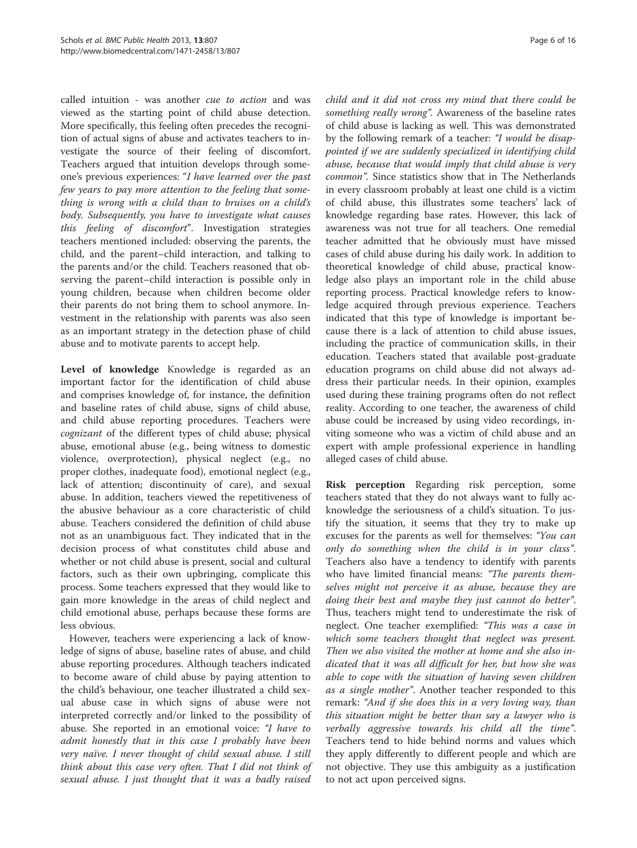called intuition - was another cue to action and was viewed as the starting point of child abuse detection. More specifically, this feeling often precedes the recognition of actual signs of abuse and activates teachers to investigate the source of their feeling of discomfort. Teachers argued that intuition develops through someone's previous experiences: "I have learned over the past few years to pay more attention to the feeling that something is wrong with a child than to bruises on a child's body. Subsequently, you have to investigate what causes this feeling of discomfort". Investigation strategies teachers mentioned included: observing the parents, the child, and the parent–child interaction, and talking to the parents and/or the child. Teachers reasoned that observing the parent–child interaction is possible only in young children, because when children become older their parents do not bring them to school anymore. Investment in the relationship with parents was also seen as an important strategy in the detection phase of child abuse and to motivate parents to accept help.

Level of knowledge Knowledge is regarded as an important factor for the identification of child abuse and comprises knowledge of, for instance, the definition and baseline rates of child abuse, signs of child abuse, and child abuse reporting procedures. Teachers were cognizant of the different types of child abuse; physical abuse, emotional abuse (e.g., being witness to domestic violence, overprotection), physical neglect (e.g., no proper clothes, inadequate food), emotional neglect (e.g., lack of attention; discontinuity of care), and sexual abuse. In addition, teachers viewed the repetitiveness of the abusive behaviour as a core characteristic of child abuse. Teachers considered the definition of child abuse not as an unambiguous fact. They indicated that in the decision process of what constitutes child abuse and whether or not child abuse is present, social and cultural factors, such as their own upbringing, complicate this process. Some teachers expressed that they would like to gain more knowledge in the areas of child neglect and child emotional abuse, perhaps because these forms are less obvious.

However, teachers were experiencing a lack of knowledge of signs of abuse, baseline rates of abuse, and child abuse reporting procedures. Although teachers indicated to become aware of child abuse by paying attention to the child's behaviour, one teacher illustrated a child sexual abuse case in which signs of abuse were not interpreted correctly and/or linked to the possibility of abuse. She reported in an emotional voice: "I have to admit honestly that in this case I probably have been very naïve. I never thought of child sexual abuse. I still think about this case very often. That I did not think of sexual abuse. I just thought that it was a badly raised

child and it did not cross my mind that there could be something really wrong". Awareness of the baseline rates of child abuse is lacking as well. This was demonstrated by the following remark of a teacher: "I would be disappointed if we are suddenly specialized in identifying child abuse, because that would imply that child abuse is very common". Since statistics show that in The Netherlands in every classroom probably at least one child is a victim of child abuse, this illustrates some teachers' lack of knowledge regarding base rates. However, this lack of awareness was not true for all teachers. One remedial teacher admitted that he obviously must have missed cases of child abuse during his daily work. In addition to theoretical knowledge of child abuse, practical knowledge also plays an important role in the child abuse reporting process. Practical knowledge refers to knowledge acquired through previous experience. Teachers indicated that this type of knowledge is important because there is a lack of attention to child abuse issues, including the practice of communication skills, in their education. Teachers stated that available post-graduate education programs on child abuse did not always address their particular needs. In their opinion, examples used during these training programs often do not reflect reality. According to one teacher, the awareness of child abuse could be increased by using video recordings, inviting someone who was a victim of child abuse and an expert with ample professional experience in handling alleged cases of child abuse.

Risk perception Regarding risk perception, some teachers stated that they do not always want to fully acknowledge the seriousness of a child's situation. To justify the situation, it seems that they try to make up excuses for the parents as well for themselves: "You can only do something when the child is in your class". Teachers also have a tendency to identify with parents who have limited financial means: "The parents themselves might not perceive it as abuse, because they are doing their best and maybe they just cannot do better". Thus, teachers might tend to underestimate the risk of neglect. One teacher exemplified: "This was a case in which some teachers thought that neglect was present. Then we also visited the mother at home and she also indicated that it was all difficult for her, but how she was able to cope with the situation of having seven children as a single mother". Another teacher responded to this remark: "And if she does this in a very loving way, than this situation might be better than say a lawyer who is verbally aggressive towards his child all the time". Teachers tend to hide behind norms and values which they apply differently to different people and which are not objective. They use this ambiguity as a justification to not act upon perceived signs.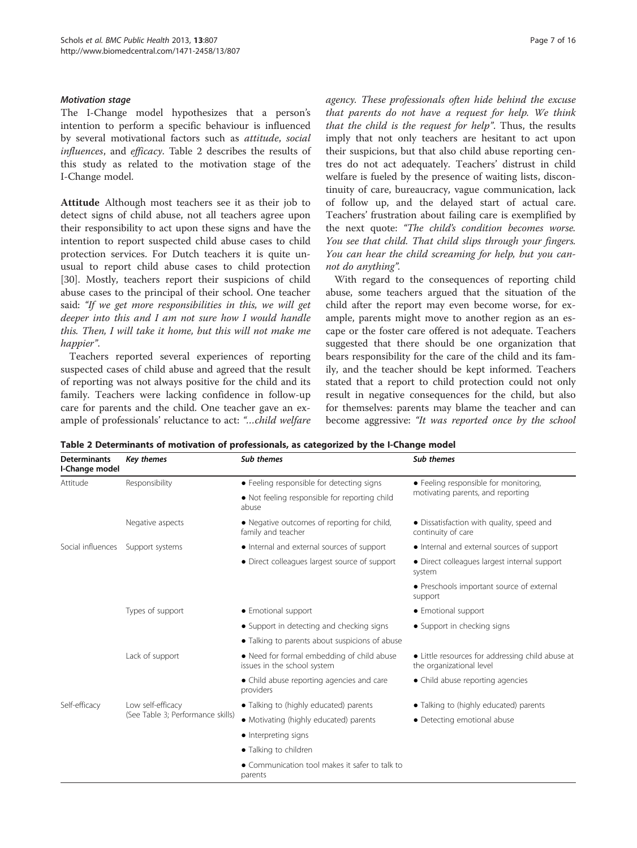<span id="page-6-0"></span>The I-Change model hypothesizes that a person's intention to perform a specific behaviour is influenced by several motivational factors such as attitude, social influences, and efficacy. Table 2 describes the results of this study as related to the motivation stage of the I-Change model.

Attitude Although most teachers see it as their job to detect signs of child abuse, not all teachers agree upon their responsibility to act upon these signs and have the intention to report suspected child abuse cases to child protection services. For Dutch teachers it is quite unusual to report child abuse cases to child protection [[30\]](#page-15-0). Mostly, teachers report their suspicions of child abuse cases to the principal of their school. One teacher said: "If we get more responsibilities in this, we will get deeper into this and I am not sure how I would handle this. Then, I will take it home, but this will not make me happier".

Teachers reported several experiences of reporting suspected cases of child abuse and agreed that the result of reporting was not always positive for the child and its family. Teachers were lacking confidence in follow-up care for parents and the child. One teacher gave an example of professionals' reluctance to act: "…child welfare agency. These professionals often hide behind the excuse that parents do not have a request for help. We think that the child is the request for help". Thus, the results imply that not only teachers are hesitant to act upon their suspicions, but that also child abuse reporting centres do not act adequately. Teachers' distrust in child welfare is fueled by the presence of waiting lists, discontinuity of care, bureaucracy, vague communication, lack of follow up, and the delayed start of actual care. Teachers' frustration about failing care is exemplified by the next quote: "The child's condition becomes worse. You see that child. That child slips through your fingers. You can hear the child screaming for help, but you cannot do anything".

With regard to the consequences of reporting child abuse, some teachers argued that the situation of the child after the report may even become worse, for example, parents might move to another region as an escape or the foster care offered is not adequate. Teachers suggested that there should be one organization that bears responsibility for the care of the child and its family, and the teacher should be kept informed. Teachers stated that a report to child protection could not only result in negative consequences for the child, but also for themselves: parents may blame the teacher and can become aggressive: "It was reported once by the school

| <b>Determinants</b><br>I-Change model | <b>Key themes</b>                                      | <b>Sub themes</b>                                                         | Sub themes                                                                   |  |
|---------------------------------------|--------------------------------------------------------|---------------------------------------------------------------------------|------------------------------------------------------------------------------|--|
| Attitude                              | Responsibility                                         | • Feeling responsible for detecting signs                                 | • Feeling responsible for monitoring,<br>motivating parents, and reporting   |  |
|                                       |                                                        | • Not feeling responsible for reporting child<br>abuse                    |                                                                              |  |
|                                       | Negative aspects                                       | • Negative outcomes of reporting for child,<br>family and teacher         | • Dissatisfaction with quality, speed and<br>continuity of care              |  |
| Social influences                     | Support systems                                        | • Internal and external sources of support                                | • Internal and external sources of support                                   |  |
|                                       |                                                        | • Direct colleagues largest source of support                             | • Direct colleagues largest internal support<br>system                       |  |
|                                       |                                                        |                                                                           | • Preschools important source of external<br>support                         |  |
|                                       | Types of support                                       | • Emotional support                                                       | • Emotional support                                                          |  |
|                                       |                                                        | • Support in detecting and checking signs                                 | • Support in checking signs                                                  |  |
|                                       |                                                        | • Talking to parents about suspicions of abuse                            |                                                                              |  |
|                                       | Lack of support                                        | • Need for formal embedding of child abuse<br>issues in the school system | • Little resources for addressing child abuse at<br>the organizational level |  |
|                                       |                                                        | • Child abuse reporting agencies and care<br>providers                    | • Child abuse reporting agencies                                             |  |
| Self-efficacy                         | Low self-efficacy<br>(See Table 3; Performance skills) | • Talking to (highly educated) parents                                    | • Talking to (highly educated) parents                                       |  |
|                                       |                                                        | • Motivating (highly educated) parents                                    | • Detecting emotional abuse                                                  |  |
|                                       |                                                        | • Interpreting signs                                                      |                                                                              |  |
|                                       |                                                        | • Talking to children                                                     |                                                                              |  |
|                                       |                                                        | • Communication tool makes it safer to talk to<br>parents                 |                                                                              |  |

Table 2 Determinants of motivation of professionals, as categorized by the I-Change model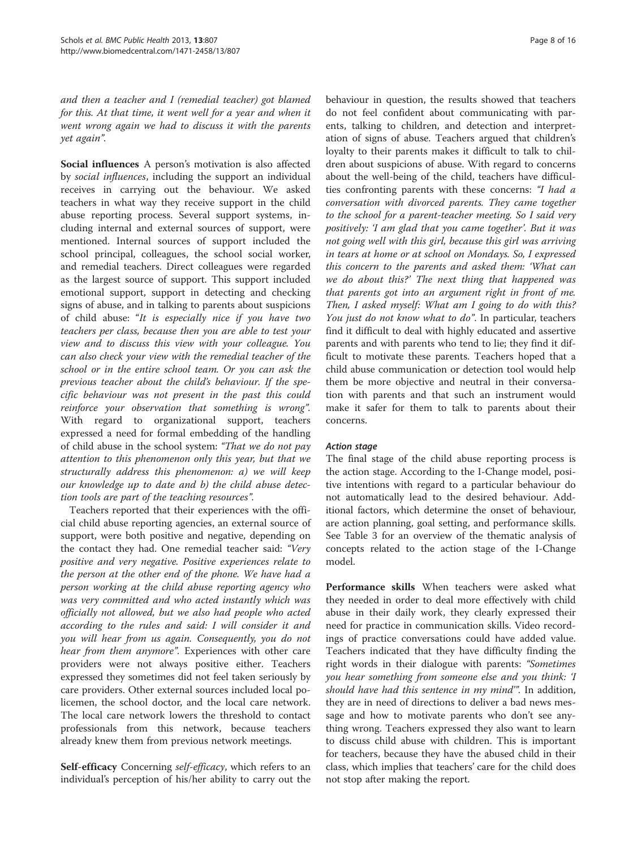and then a teacher and I (remedial teacher) got blamed for this. At that time, it went well for a year and when it went wrong again we had to discuss it with the parents yet again".

Social influences A person's motivation is also affected by social influences, including the support an individual receives in carrying out the behaviour. We asked teachers in what way they receive support in the child abuse reporting process. Several support systems, including internal and external sources of support, were mentioned. Internal sources of support included the school principal, colleagues, the school social worker, and remedial teachers. Direct colleagues were regarded as the largest source of support. This support included emotional support, support in detecting and checking signs of abuse, and in talking to parents about suspicions of child abuse: "It is especially nice if you have two teachers per class, because then you are able to test your view and to discuss this view with your colleague. You can also check your view with the remedial teacher of the school or in the entire school team. Or you can ask the previous teacher about the child's behaviour. If the specific behaviour was not present in the past this could reinforce your observation that something is wrong". With regard to organizational support, teachers expressed a need for formal embedding of the handling of child abuse in the school system: "That we do not pay attention to this phenomenon only this year, but that we structurally address this phenomenon: a) we will keep our knowledge up to date and b) the child abuse detection tools are part of the teaching resources".

Teachers reported that their experiences with the official child abuse reporting agencies, an external source of support, were both positive and negative, depending on the contact they had. One remedial teacher said: "Very positive and very negative. Positive experiences relate to the person at the other end of the phone. We have had a person working at the child abuse reporting agency who was very committed and who acted instantly which was officially not allowed, but we also had people who acted according to the rules and said: I will consider it and you will hear from us again. Consequently, you do not hear from them anymore". Experiences with other care providers were not always positive either. Teachers expressed they sometimes did not feel taken seriously by care providers. Other external sources included local policemen, the school doctor, and the local care network. The local care network lowers the threshold to contact professionals from this network, because teachers already knew them from previous network meetings.

Self-efficacy Concerning self-efficacy, which refers to an individual's perception of his/her ability to carry out the behaviour in question, the results showed that teachers do not feel confident about communicating with parents, talking to children, and detection and interpretation of signs of abuse. Teachers argued that children's loyalty to their parents makes it difficult to talk to children about suspicions of abuse. With regard to concerns about the well-being of the child, teachers have difficulties confronting parents with these concerns: "I had a conversation with divorced parents. They came together to the school for a parent-teacher meeting. So I said very positively: 'I am glad that you came together'. But it was not going well with this girl, because this girl was arriving in tears at home or at school on Mondays. So, I expressed this concern to the parents and asked them: 'What can we do about this?' The next thing that happened was that parents got into an argument right in front of me. Then, I asked myself: What am I going to do with this? You just do not know what to do". In particular, teachers find it difficult to deal with highly educated and assertive parents and with parents who tend to lie; they find it difficult to motivate these parents. Teachers hoped that a child abuse communication or detection tool would help them be more objective and neutral in their conversation with parents and that such an instrument would make it safer for them to talk to parents about their concerns.

The final stage of the child abuse reporting process is the action stage. According to the I-Change model, positive intentions with regard to a particular behaviour do not automatically lead to the desired behaviour. Additional factors, which determine the onset of behaviour, are action planning, goal setting, and performance skills. See Table [3](#page-8-0) for an overview of the thematic analysis of concepts related to the action stage of the I-Change model.

Performance skills When teachers were asked what they needed in order to deal more effectively with child abuse in their daily work, they clearly expressed their need for practice in communication skills. Video recordings of practice conversations could have added value. Teachers indicated that they have difficulty finding the right words in their dialogue with parents: "Sometimes you hear something from someone else and you think: 'I should have had this sentence in my mind'". In addition, they are in need of directions to deliver a bad news message and how to motivate parents who don't see anything wrong. Teachers expressed they also want to learn to discuss child abuse with children. This is important for teachers, because they have the abused child in their class, which implies that teachers' care for the child does not stop after making the report.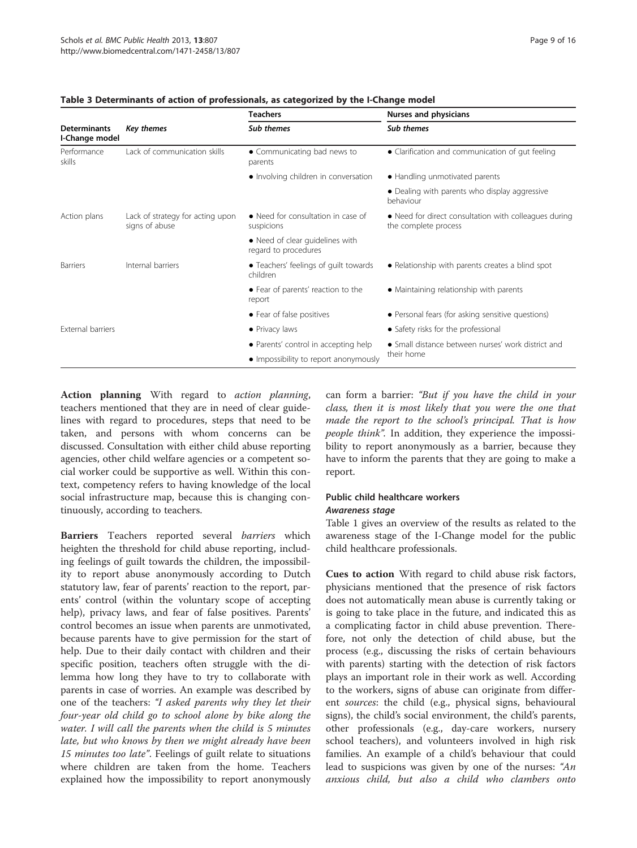|                                       | Key themes                                         | <b>Teachers</b>                                         | Nurses and physicians                                                         |  |
|---------------------------------------|----------------------------------------------------|---------------------------------------------------------|-------------------------------------------------------------------------------|--|
| <b>Determinants</b><br>I-Change model |                                                    | Sub themes                                              | Sub themes                                                                    |  |
| Performance<br>skills                 | Lack of communication skills                       | • Communicating bad news to<br>parents                  | • Clarification and communication of gut feeling                              |  |
|                                       |                                                    | • Involving children in conversation                    | • Handling unmotivated parents                                                |  |
|                                       |                                                    |                                                         | • Dealing with parents who display aggressive<br>behaviour                    |  |
| Action plans                          | Lack of strategy for acting upon<br>signs of abuse | • Need for consultation in case of<br>suspicions        | • Need for direct consultation with colleagues during<br>the complete process |  |
|                                       |                                                    | • Need of clear guidelines with<br>regard to procedures |                                                                               |  |
| <b>Barriers</b>                       | Internal barriers                                  | • Teachers' feelings of quilt towards<br>children       | • Relationship with parents creates a blind spot                              |  |
|                                       |                                                    | • Fear of parents' reaction to the<br>report            | • Maintaining relationship with parents                                       |  |
|                                       |                                                    | • Fear of false positives                               | • Personal fears (for asking sensitive questions)                             |  |
| <b>External barriers</b>              |                                                    | • Privacy laws                                          | • Safety risks for the professional                                           |  |
|                                       |                                                    | • Parents' control in accepting help                    | • Small distance between nurses' work district and                            |  |
|                                       |                                                    | • Impossibility to report anonymously                   | their home                                                                    |  |

### <span id="page-8-0"></span>Table 3 Determinants of action of professionals, as categorized by the I-Change model

Action planning With regard to *action planning*, teachers mentioned that they are in need of clear guidelines with regard to procedures, steps that need to be taken, and persons with whom concerns can be discussed. Consultation with either child abuse reporting agencies, other child welfare agencies or a competent social worker could be supportive as well. Within this context, competency refers to having knowledge of the local social infrastructure map, because this is changing continuously, according to teachers.

Barriers Teachers reported several barriers which heighten the threshold for child abuse reporting, including feelings of guilt towards the children, the impossibility to report abuse anonymously according to Dutch statutory law, fear of parents' reaction to the report, parents' control (within the voluntary scope of accepting help), privacy laws, and fear of false positives. Parents' control becomes an issue when parents are unmotivated, because parents have to give permission for the start of help. Due to their daily contact with children and their specific position, teachers often struggle with the dilemma how long they have to try to collaborate with parents in case of worries. An example was described by one of the teachers: "I asked parents why they let their four-year old child go to school alone by bike along the water. I will call the parents when the child is 5 minutes late, but who knows by then we might already have been 15 minutes too late". Feelings of guilt relate to situations where children are taken from the home. Teachers explained how the impossibility to report anonymously

can form a barrier: "But if you have the child in your class, then it is most likely that you were the one that made the report to the school's principal. That is how people think". In addition, they experience the impossibility to report anonymously as a barrier, because they have to inform the parents that they are going to make a report.

# Public child healthcare workers

Table [1](#page-4-0) gives an overview of the results as related to the awareness stage of the I-Change model for the public child healthcare professionals.

Cues to action With regard to child abuse risk factors, physicians mentioned that the presence of risk factors does not automatically mean abuse is currently taking or is going to take place in the future, and indicated this as a complicating factor in child abuse prevention. Therefore, not only the detection of child abuse, but the process (e.g., discussing the risks of certain behaviours with parents) starting with the detection of risk factors plays an important role in their work as well. According to the workers, signs of abuse can originate from different *sources*: the child (e.g., physical signs, behavioural signs), the child's social environment, the child's parents, other professionals (e.g., day-care workers, nursery school teachers), and volunteers involved in high risk families. An example of a child's behaviour that could lead to suspicions was given by one of the nurses: "An anxious child, but also a child who clambers onto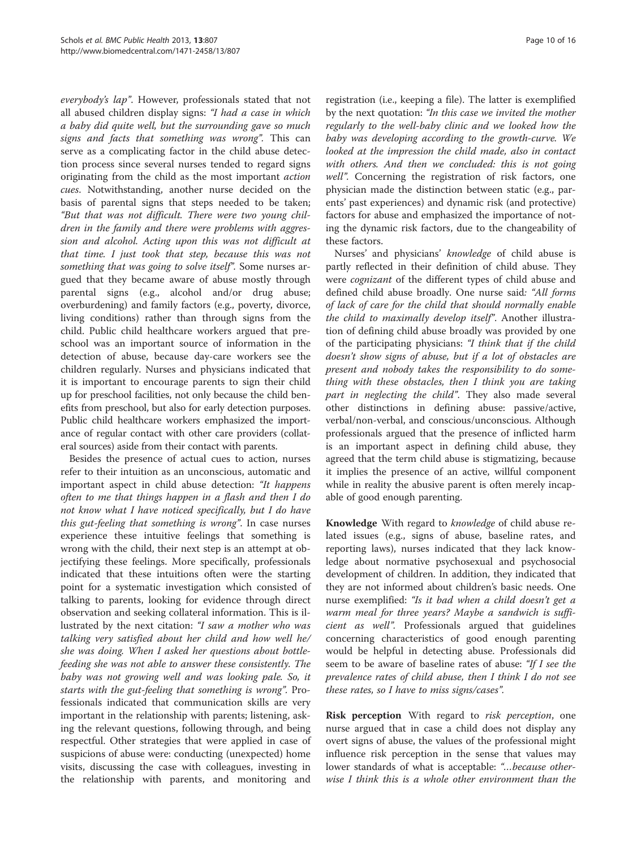everybody's lap". However, professionals stated that not all abused children display signs: "I had a case in which a baby did quite well, but the surrounding gave so much signs and facts that something was wrong". This can serve as a complicating factor in the child abuse detection process since several nurses tended to regard signs originating from the child as the most important action cues. Notwithstanding, another nurse decided on the basis of parental signs that steps needed to be taken; "But that was not difficult. There were two young children in the family and there were problems with aggression and alcohol. Acting upon this was not difficult at that time. I just took that step, because this was not something that was going to solve itself". Some nurses argued that they became aware of abuse mostly through parental signs (e.g., alcohol and/or drug abuse; overburdening) and family factors (e.g., poverty, divorce, living conditions) rather than through signs from the child. Public child healthcare workers argued that preschool was an important source of information in the detection of abuse, because day-care workers see the children regularly. Nurses and physicians indicated that it is important to encourage parents to sign their child up for preschool facilities, not only because the child benefits from preschool, but also for early detection purposes. Public child healthcare workers emphasized the importance of regular contact with other care providers (collateral sources) aside from their contact with parents.

Besides the presence of actual cues to action, nurses refer to their intuition as an unconscious, automatic and important aspect in child abuse detection: "It happens often to me that things happen in a flash and then I do not know what I have noticed specifically, but I do have this gut-feeling that something is wrong". In case nurses experience these intuitive feelings that something is wrong with the child, their next step is an attempt at objectifying these feelings. More specifically, professionals indicated that these intuitions often were the starting point for a systematic investigation which consisted of talking to parents, looking for evidence through direct observation and seeking collateral information. This is illustrated by the next citation: "I saw a mother who was talking very satisfied about her child and how well he/ she was doing. When I asked her questions about bottlefeeding she was not able to answer these consistently. The baby was not growing well and was looking pale. So, it starts with the gut-feeling that something is wrong". Professionals indicated that communication skills are very important in the relationship with parents; listening, asking the relevant questions, following through, and being respectful. Other strategies that were applied in case of suspicions of abuse were: conducting (unexpected) home visits, discussing the case with colleagues, investing in the relationship with parents, and monitoring and

registration (i.e., keeping a file). The latter is exemplified by the next quotation: "In this case we invited the mother regularly to the well-baby clinic and we looked how the baby was developing according to the growth-curve. We looked at the impression the child made, also in contact with others. And then we concluded: this is not going well". Concerning the registration of risk factors, one physician made the distinction between static (e.g., parents' past experiences) and dynamic risk (and protective) factors for abuse and emphasized the importance of noting the dynamic risk factors, due to the changeability of these factors.

Nurses' and physicians' knowledge of child abuse is partly reflected in their definition of child abuse. They were cognizant of the different types of child abuse and defined child abuse broadly. One nurse said: "All forms of lack of care for the child that should normally enable the child to maximally develop itself". Another illustration of defining child abuse broadly was provided by one of the participating physicians: "I think that if the child doesn't show signs of abuse, but if a lot of obstacles are present and nobody takes the responsibility to do something with these obstacles, then I think you are taking part in neglecting the child". They also made several other distinctions in defining abuse: passive/active, verbal/non-verbal, and conscious/unconscious. Although professionals argued that the presence of inflicted harm is an important aspect in defining child abuse, they agreed that the term child abuse is stigmatizing, because it implies the presence of an active, willful component while in reality the abusive parent is often merely incapable of good enough parenting.

Knowledge With regard to knowledge of child abuse related issues (e.g., signs of abuse, baseline rates, and reporting laws), nurses indicated that they lack knowledge about normative psychosexual and psychosocial development of children. In addition, they indicated that they are not informed about children's basic needs. One nurse exemplified: "Is it bad when a child doesn't get a warm meal for three years? Maybe a sandwich is sufficient as well". Professionals argued that guidelines concerning characteristics of good enough parenting would be helpful in detecting abuse. Professionals did seem to be aware of baseline rates of abuse: "If I see the prevalence rates of child abuse, then I think I do not see these rates, so I have to miss signs/cases".

Risk perception With regard to risk perception, one nurse argued that in case a child does not display any overt signs of abuse, the values of the professional might influence risk perception in the sense that values may lower standards of what is acceptable: "...because otherwise I think this is a whole other environment than the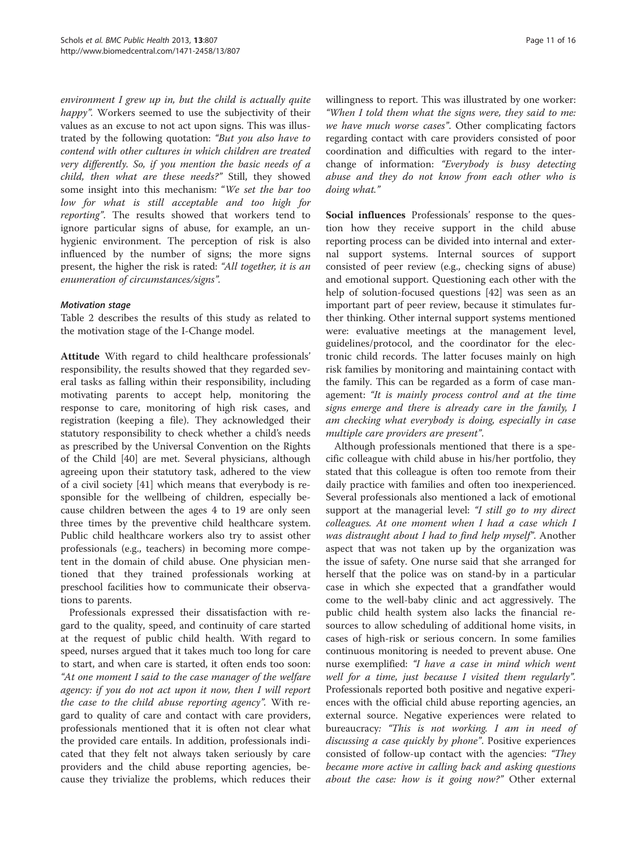environment I grew up in, but the child is actually quite happy". Workers seemed to use the subjectivity of their values as an excuse to not act upon signs. This was illustrated by the following quotation: "But you also have to contend with other cultures in which children are treated very differently. So, if you mention the basic needs of a child, then what are these needs?" Still, they showed some insight into this mechanism: "We set the bar too low for what is still acceptable and too high for reporting". The results showed that workers tend to ignore particular signs of abuse, for example, an unhygienic environment. The perception of risk is also influenced by the number of signs; the more signs present, the higher the risk is rated: "All together, it is an enumeration of circumstances/signs".

Table [2](#page-6-0) describes the results of this study as related to the motivation stage of the I-Change model.

Attitude With regard to child healthcare professionals' responsibility, the results showed that they regarded several tasks as falling within their responsibility, including motivating parents to accept help, monitoring the response to care, monitoring of high risk cases, and registration (keeping a file). They acknowledged their statutory responsibility to check whether a child's needs as prescribed by the Universal Convention on the Rights of the Child [\[40\]](#page-15-0) are met. Several physicians, although agreeing upon their statutory task, adhered to the view of a civil society [[41](#page-15-0)] which means that everybody is responsible for the wellbeing of children, especially because children between the ages 4 to 19 are only seen three times by the preventive child healthcare system. Public child healthcare workers also try to assist other professionals (e.g., teachers) in becoming more competent in the domain of child abuse. One physician mentioned that they trained professionals working at preschool facilities how to communicate their observations to parents.

Professionals expressed their dissatisfaction with regard to the quality, speed, and continuity of care started at the request of public child health. With regard to speed, nurses argued that it takes much too long for care to start, and when care is started, it often ends too soon: "At one moment I said to the case manager of the welfare agency: if you do not act upon it now, then I will report the case to the child abuse reporting agency". With regard to quality of care and contact with care providers, professionals mentioned that it is often not clear what the provided care entails. In addition, professionals indicated that they felt not always taken seriously by care providers and the child abuse reporting agencies, because they trivialize the problems, which reduces their

willingness to report. This was illustrated by one worker: "When I told them what the signs were, they said to me: we have much worse cases". Other complicating factors regarding contact with care providers consisted of poor coordination and difficulties with regard to the interchange of information: "Everybody is busy detecting abuse and they do not know from each other who is doing what."

Social influences Professionals' response to the question how they receive support in the child abuse reporting process can be divided into internal and external support systems. Internal sources of support consisted of peer review (e.g., checking signs of abuse) and emotional support. Questioning each other with the help of solution-focused questions [\[42\]](#page-15-0) was seen as an important part of peer review, because it stimulates further thinking. Other internal support systems mentioned were: evaluative meetings at the management level, guidelines/protocol, and the coordinator for the electronic child records. The latter focuses mainly on high risk families by monitoring and maintaining contact with the family. This can be regarded as a form of case management: "It is mainly process control and at the time signs emerge and there is already care in the family, I am checking what everybody is doing, especially in case multiple care providers are present".

Although professionals mentioned that there is a specific colleague with child abuse in his/her portfolio, they stated that this colleague is often too remote from their daily practice with families and often too inexperienced. Several professionals also mentioned a lack of emotional support at the managerial level: "I still go to my direct colleagues. At one moment when I had a case which I was distraught about I had to find help myself". Another aspect that was not taken up by the organization was the issue of safety. One nurse said that she arranged for herself that the police was on stand-by in a particular case in which she expected that a grandfather would come to the well-baby clinic and act aggressively. The public child health system also lacks the financial resources to allow scheduling of additional home visits, in cases of high-risk or serious concern. In some families continuous monitoring is needed to prevent abuse. One nurse exemplified: "I have a case in mind which went well for a time, just because I visited them regularly". Professionals reported both positive and negative experiences with the official child abuse reporting agencies, an external source. Negative experiences were related to bureaucracy: "This is not working. I am in need of discussing a case quickly by phone". Positive experiences consisted of follow-up contact with the agencies: "They became more active in calling back and asking questions about the case: how is it going now?" Other external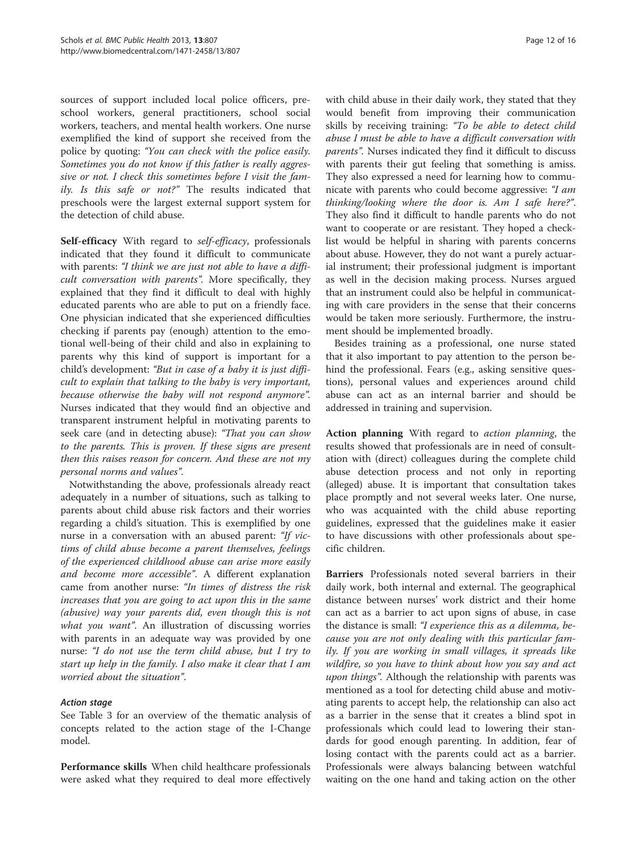sources of support included local police officers, preschool workers, general practitioners, school social workers, teachers, and mental health workers. One nurse exemplified the kind of support she received from the police by quoting: "You can check with the police easily. Sometimes you do not know if this father is really aggressive or not. I check this sometimes before I visit the family. Is this safe or not?" The results indicated that preschools were the largest external support system for the detection of child abuse.

Self-efficacy With regard to self-efficacy, professionals indicated that they found it difficult to communicate with parents: "I think we are just not able to have a difficult conversation with parents". More specifically, they explained that they find it difficult to deal with highly educated parents who are able to put on a friendly face. One physician indicated that she experienced difficulties checking if parents pay (enough) attention to the emotional well-being of their child and also in explaining to parents why this kind of support is important for a child's development: "But in case of a baby it is just difficult to explain that talking to the baby is very important, because otherwise the baby will not respond anymore". Nurses indicated that they would find an objective and transparent instrument helpful in motivating parents to seek care (and in detecting abuse): "That you can show to the parents. This is proven. If these signs are present then this raises reason for concern. And these are not my personal norms and values".

Notwithstanding the above, professionals already react adequately in a number of situations, such as talking to parents about child abuse risk factors and their worries regarding a child's situation. This is exemplified by one nurse in a conversation with an abused parent: "If victims of child abuse become a parent themselves, feelings of the experienced childhood abuse can arise more easily and become more accessible". A different explanation came from another nurse: "In times of distress the risk increases that you are going to act upon this in the same (abusive) way your parents did, even though this is not what you want". An illustration of discussing worries with parents in an adequate way was provided by one nurse: "I do not use the term child abuse, but I try to start up help in the family. I also make it clear that I am worried about the situation".

See Table [3](#page-8-0) for an overview of the thematic analysis of concepts related to the action stage of the I-Change model.

Performance skills When child healthcare professionals were asked what they required to deal more effectively with child abuse in their daily work, they stated that they would benefit from improving their communication skills by receiving training: "To be able to detect child abuse I must be able to have a difficult conversation with parents". Nurses indicated they find it difficult to discuss with parents their gut feeling that something is amiss. They also expressed a need for learning how to communicate with parents who could become aggressive: "I am thinking/looking where the door is. Am I safe here?". They also find it difficult to handle parents who do not want to cooperate or are resistant. They hoped a checklist would be helpful in sharing with parents concerns about abuse. However, they do not want a purely actuarial instrument; their professional judgment is important as well in the decision making process. Nurses argued that an instrument could also be helpful in communicating with care providers in the sense that their concerns would be taken more seriously. Furthermore, the instrument should be implemented broadly.

Besides training as a professional, one nurse stated that it also important to pay attention to the person behind the professional. Fears (e.g., asking sensitive questions), personal values and experiences around child abuse can act as an internal barrier and should be addressed in training and supervision.

Action planning With regard to action planning, the results showed that professionals are in need of consultation with (direct) colleagues during the complete child abuse detection process and not only in reporting (alleged) abuse. It is important that consultation takes place promptly and not several weeks later. One nurse, who was acquainted with the child abuse reporting guidelines, expressed that the guidelines make it easier to have discussions with other professionals about specific children.

Barriers Professionals noted several barriers in their daily work, both internal and external. The geographical distance between nurses' work district and their home can act as a barrier to act upon signs of abuse, in case the distance is small: "I experience this as a dilemma, because you are not only dealing with this particular family. If you are working in small villages, it spreads like wildfire, so you have to think about how you say and act upon things". Although the relationship with parents was mentioned as a tool for detecting child abuse and motivating parents to accept help, the relationship can also act as a barrier in the sense that it creates a blind spot in professionals which could lead to lowering their standards for good enough parenting. In addition, fear of losing contact with the parents could act as a barrier. Professionals were always balancing between watchful waiting on the one hand and taking action on the other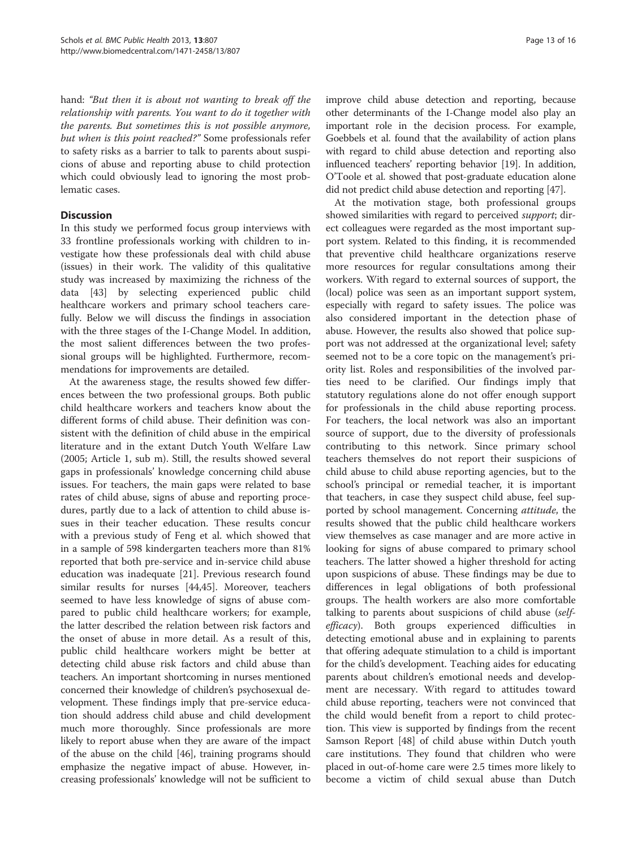hand: "But then it is about not wanting to break off the relationship with parents. You want to do it together with the parents. But sometimes this is not possible anymore, but when is this point reached?" Some professionals refer to safety risks as a barrier to talk to parents about suspicions of abuse and reporting abuse to child protection which could obviously lead to ignoring the most problematic cases.

### **Discussion**

In this study we performed focus group interviews with 33 frontline professionals working with children to investigate how these professionals deal with child abuse (issues) in their work. The validity of this qualitative study was increased by maximizing the richness of the data [\[43](#page-15-0)] by selecting experienced public child healthcare workers and primary school teachers carefully. Below we will discuss the findings in association with the three stages of the I-Change Model. In addition, the most salient differences between the two professional groups will be highlighted. Furthermore, recommendations for improvements are detailed.

At the awareness stage, the results showed few differences between the two professional groups. Both public child healthcare workers and teachers know about the different forms of child abuse. Their definition was consistent with the definition of child abuse in the empirical literature and in the extant Dutch Youth Welfare Law (2005; Article 1, sub m). Still, the results showed several gaps in professionals' knowledge concerning child abuse issues. For teachers, the main gaps were related to base rates of child abuse, signs of abuse and reporting procedures, partly due to a lack of attention to child abuse issues in their teacher education. These results concur with a previous study of Feng et al. which showed that in a sample of 598 kindergarten teachers more than 81% reported that both pre-service and in-service child abuse education was inadequate [[21\]](#page-15-0). Previous research found similar results for nurses [\[44,45](#page-15-0)]. Moreover, teachers seemed to have less knowledge of signs of abuse compared to public child healthcare workers; for example, the latter described the relation between risk factors and the onset of abuse in more detail. As a result of this, public child healthcare workers might be better at detecting child abuse risk factors and child abuse than teachers. An important shortcoming in nurses mentioned concerned their knowledge of children's psychosexual development. These findings imply that pre-service education should address child abuse and child development much more thoroughly. Since professionals are more likely to report abuse when they are aware of the impact of the abuse on the child [\[46\]](#page-15-0), training programs should emphasize the negative impact of abuse. However, increasing professionals' knowledge will not be sufficient to improve child abuse detection and reporting, because other determinants of the I-Change model also play an important role in the decision process. For example, Goebbels et al. found that the availability of action plans with regard to child abuse detection and reporting also influenced teachers' reporting behavior [\[19\]](#page-15-0). In addition, O'Toole et al. showed that post-graduate education alone did not predict child abuse detection and reporting [\[47\]](#page-15-0).

At the motivation stage, both professional groups showed similarities with regard to perceived support; direct colleagues were regarded as the most important support system. Related to this finding, it is recommended that preventive child healthcare organizations reserve more resources for regular consultations among their workers. With regard to external sources of support, the (local) police was seen as an important support system, especially with regard to safety issues. The police was also considered important in the detection phase of abuse. However, the results also showed that police support was not addressed at the organizational level; safety seemed not to be a core topic on the management's priority list. Roles and responsibilities of the involved parties need to be clarified. Our findings imply that statutory regulations alone do not offer enough support for professionals in the child abuse reporting process. For teachers, the local network was also an important source of support, due to the diversity of professionals contributing to this network. Since primary school teachers themselves do not report their suspicions of child abuse to child abuse reporting agencies, but to the school's principal or remedial teacher, it is important that teachers, in case they suspect child abuse, feel supported by school management. Concerning *attitude*, the results showed that the public child healthcare workers view themselves as case manager and are more active in looking for signs of abuse compared to primary school teachers. The latter showed a higher threshold for acting upon suspicions of abuse. These findings may be due to differences in legal obligations of both professional groups. The health workers are also more comfortable talking to parents about suspicions of child abuse (selfefficacy). Both groups experienced difficulties in detecting emotional abuse and in explaining to parents that offering adequate stimulation to a child is important for the child's development. Teaching aides for educating parents about children's emotional needs and development are necessary. With regard to attitudes toward child abuse reporting, teachers were not convinced that the child would benefit from a report to child protection. This view is supported by findings from the recent Samson Report [[48](#page-15-0)] of child abuse within Dutch youth care institutions. They found that children who were placed in out-of-home care were 2.5 times more likely to become a victim of child sexual abuse than Dutch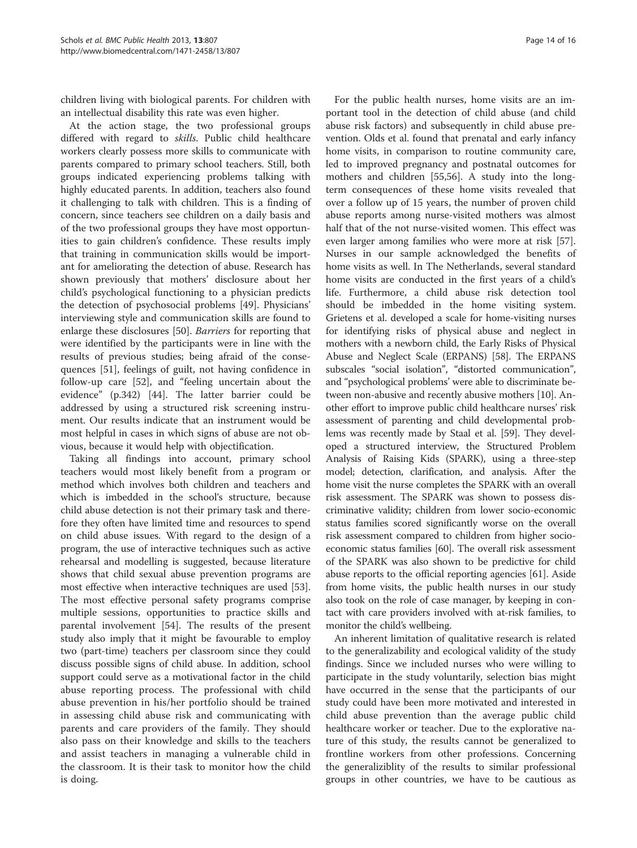children living with biological parents. For children with an intellectual disability this rate was even higher.

At the action stage, the two professional groups differed with regard to skills. Public child healthcare workers clearly possess more skills to communicate with parents compared to primary school teachers. Still, both groups indicated experiencing problems talking with highly educated parents. In addition, teachers also found it challenging to talk with children. This is a finding of concern, since teachers see children on a daily basis and of the two professional groups they have most opportunities to gain children's confidence. These results imply that training in communication skills would be important for ameliorating the detection of abuse. Research has shown previously that mothers' disclosure about her child's psychological functioning to a physician predicts the detection of psychosocial problems [\[49](#page-15-0)]. Physicians' interviewing style and communication skills are found to enlarge these disclosures [\[50](#page-15-0)]. Barriers for reporting that were identified by the participants were in line with the results of previous studies; being afraid of the consequences [[51](#page-15-0)], feelings of guilt, not having confidence in follow-up care [\[52\]](#page-15-0), and "feeling uncertain about the evidence" (p.342) [[44\]](#page-15-0). The latter barrier could be addressed by using a structured risk screening instrument. Our results indicate that an instrument would be most helpful in cases in which signs of abuse are not obvious, because it would help with objectification.

Taking all findings into account, primary school teachers would most likely benefit from a program or method which involves both children and teachers and which is imbedded in the school's structure, because child abuse detection is not their primary task and therefore they often have limited time and resources to spend on child abuse issues. With regard to the design of a program, the use of interactive techniques such as active rehearsal and modelling is suggested, because literature shows that child sexual abuse prevention programs are most effective when interactive techniques are used [\[53](#page-15-0)]. The most effective personal safety programs comprise multiple sessions, opportunities to practice skills and parental involvement [\[54](#page-15-0)]. The results of the present study also imply that it might be favourable to employ two (part-time) teachers per classroom since they could discuss possible signs of child abuse. In addition, school support could serve as a motivational factor in the child abuse reporting process. The professional with child abuse prevention in his/her portfolio should be trained in assessing child abuse risk and communicating with parents and care providers of the family. They should also pass on their knowledge and skills to the teachers and assist teachers in managing a vulnerable child in the classroom. It is their task to monitor how the child is doing.

For the public health nurses, home visits are an important tool in the detection of child abuse (and child abuse risk factors) and subsequently in child abuse prevention. Olds et al. found that prenatal and early infancy home visits, in comparison to routine community care, led to improved pregnancy and postnatal outcomes for mothers and children [[55,56\]](#page-15-0). A study into the longterm consequences of these home visits revealed that over a follow up of 15 years, the number of proven child abuse reports among nurse-visited mothers was almost half that of the not nurse-visited women. This effect was even larger among families who were more at risk [\[57](#page-15-0)]. Nurses in our sample acknowledged the benefits of home visits as well. In The Netherlands, several standard home visits are conducted in the first years of a child's life. Furthermore, a child abuse risk detection tool should be imbedded in the home visiting system. Grietens et al. developed a scale for home-visiting nurses for identifying risks of physical abuse and neglect in mothers with a newborn child, the Early Risks of Physical Abuse and Neglect Scale (ERPANS) [\[58\]](#page-15-0). The ERPANS subscales "social isolation", "distorted communication", and "psychological problems' were able to discriminate between non-abusive and recently abusive mothers [\[10](#page-14-0)]. Another effort to improve public child healthcare nurses' risk assessment of parenting and child developmental problems was recently made by Staal et al. [\[59\]](#page-15-0). They developed a structured interview, the Structured Problem Analysis of Raising Kids (SPARK), using a three-step model; detection, clarification, and analysis. After the home visit the nurse completes the SPARK with an overall risk assessment. The SPARK was shown to possess discriminative validity; children from lower socio-economic status families scored significantly worse on the overall risk assessment compared to children from higher socioeconomic status families [[60](#page-15-0)]. The overall risk assessment of the SPARK was also shown to be predictive for child abuse reports to the official reporting agencies [\[61\]](#page-15-0). Aside from home visits, the public health nurses in our study also took on the role of case manager, by keeping in contact with care providers involved with at-risk families, to monitor the child's wellbeing.

An inherent limitation of qualitative research is related to the generalizability and ecological validity of the study findings. Since we included nurses who were willing to participate in the study voluntarily, selection bias might have occurred in the sense that the participants of our study could have been more motivated and interested in child abuse prevention than the average public child healthcare worker or teacher. Due to the explorative nature of this study, the results cannot be generalized to frontline workers from other professions. Concerning the generaliziblity of the results to similar professional groups in other countries, we have to be cautious as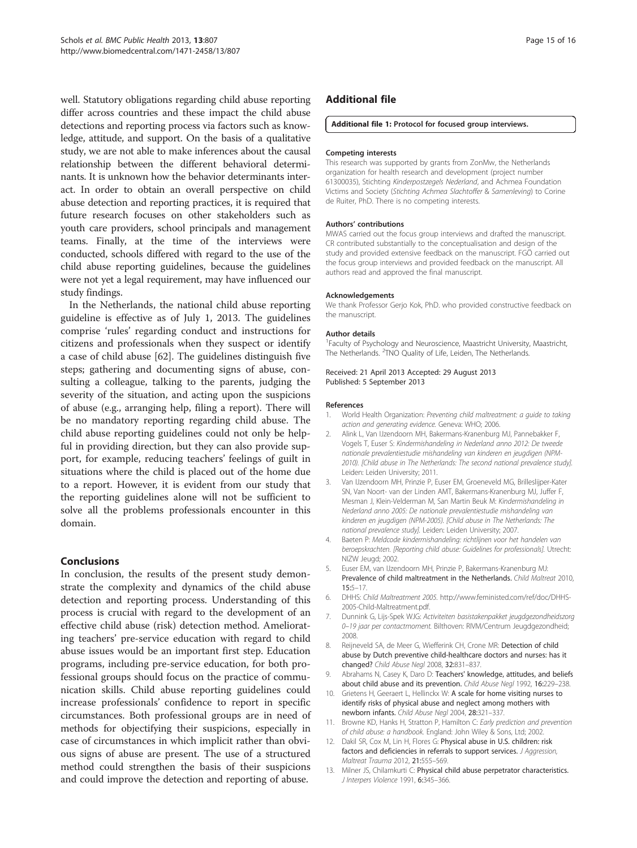<span id="page-14-0"></span>well. Statutory obligations regarding child abuse reporting differ across countries and these impact the child abuse detections and reporting process via factors such as knowledge, attitude, and support. On the basis of a qualitative study, we are not able to make inferences about the causal relationship between the different behavioral determinants. It is unknown how the behavior determinants interact. In order to obtain an overall perspective on child abuse detection and reporting practices, it is required that future research focuses on other stakeholders such as youth care providers, school principals and management teams. Finally, at the time of the interviews were conducted, schools differed with regard to the use of the child abuse reporting guidelines, because the guidelines were not yet a legal requirement, may have influenced our study findings.

In the Netherlands, the national child abuse reporting guideline is effective as of July 1, 2013. The guidelines comprise 'rules' regarding conduct and instructions for citizens and professionals when they suspect or identify a case of child abuse [[62](#page-15-0)]. The guidelines distinguish five steps; gathering and documenting signs of abuse, consulting a colleague, talking to the parents, judging the severity of the situation, and acting upon the suspicions of abuse (e.g., arranging help, filing a report). There will be no mandatory reporting regarding child abuse. The child abuse reporting guidelines could not only be helpful in providing direction, but they can also provide support, for example, reducing teachers' feelings of guilt in situations where the child is placed out of the home due to a report. However, it is evident from our study that the reporting guidelines alone will not be sufficient to solve all the problems professionals encounter in this domain.

### Conclusions

In conclusion, the results of the present study demonstrate the complexity and dynamics of the child abuse detection and reporting process. Understanding of this process is crucial with regard to the development of an effective child abuse (risk) detection method. Ameliorating teachers' pre-service education with regard to child abuse issues would be an important first step. Education programs, including pre-service education, for both professional groups should focus on the practice of communication skills. Child abuse reporting guidelines could increase professionals' confidence to report in specific circumstances. Both professional groups are in need of methods for objectifying their suspicions, especially in case of circumstances in which implicit rather than obvious signs of abuse are present. The use of a structured method could strengthen the basis of their suspicions and could improve the detection and reporting of abuse.

### Additional file

### [Additional file 1:](http://www.biomedcentral.com/content/supplementary/1471-2458-13-807-S1.pdf) Protocol for focused group interviews.

### Competing interests

This research was supported by grants from ZonMw, the Netherlands organization for health research and development (project number 61300035), Stichting Kinderpostzegels Nederland, and Achmea Foundation Victims and Society (Stichting Achmea Slachtoffer & Samenleving) to Corine de Ruiter, PhD. There is no competing interests.

### Authors' contributions

MWAS carried out the focus group interviews and drafted the manuscript. CR contributed substantially to the conceptualisation and design of the study and provided extensive feedback on the manuscript. FGÖ carried out the focus group interviews and provided feedback on the manuscript. All authors read and approved the final manuscript.

### Acknowledgements

We thank Professor Gerjo Kok, PhD. who provided constructive feedback on the manuscript.

### Author details

<sup>1</sup> Faculty of Psychology and Neuroscience, Maastricht University, Maastricht, The Netherlands. <sup>2</sup>TNO Quality of Life, Leiden, The Netherlands.

### Received: 21 April 2013 Accepted: 29 August 2013 Published: 5 September 2013

### References

- World Health Organization: Preventing child maltreatment: a guide to taking action and generating evidence. Geneva: WHO; 2006.
- 2. Alink L, Van IJzendoorn MH, Bakermans-Kranenburg MJ, Pannebakker F, Vogels T, Euser S: Kindermishandeling in Nederland anno 2012: De tweede nationale prevalentiestudie mishandeling van kinderen en jeugdigen (NPM-2010). [Child abuse in The Netherlands: The second national prevalence study]. Leiden: Leiden University; 2011.
- 3. Van IJzendoorn MH, Prinzie P, Euser EM, Groeneveld MG, Brilleslijper-Kater SN, Van Noort- van der Linden AMT, Bakermans-Kranenburg MJ, Juffer F, Mesman J, Klein-Velderman M, San Martin Beuk M: Kindermishandeling in Nederland anno 2005: De nationale prevalentiestudie mishandeling van kinderen en jeugdigen (NPM-2005). [Child abuse in The Netherlands: The national prevalence study]. Leiden: Leiden University; 2007.
- 4. Baeten P: Meldcode kindermishandeling: richtlijnen voor het handelen van beroepskrachten. [Reporting child abuse: Guidelines for professionals]. Utrecht: NIZW Jeugd; 2002.
- 5. Euser EM, van IJzendoorn MH, Prinzie P, Bakermans-Kranenburg MJ: Prevalence of child maltreatment in the Netherlands. Child Maltreat 2010, 15:5–17.
- 6. DHHS: Child Maltreatment 2005. [http://www.feministed.com/ref/doc/DHHS-](http://www.feministed.com/ref/doc/DHHS-2005-Child-Maltreatment.pdf)[2005-Child-Maltreatment.pdf](http://www.feministed.com/ref/doc/DHHS-2005-Child-Maltreatment.pdf).
- 7. Dunnink G, Lijs-Spek WJG: Activiteiten basistakenpakket jeugdgezondheidszorg 0–19 jaar per contactmoment. Bilthoven: RIVM/Centrum Jeugdgezondheid; 2008.
- 8. Reijneveld SA, de Meer G, Wiefferink CH, Crone MR: Detection of child abuse by Dutch preventive child-healthcare doctors and nurses: has it changed? Child Abuse Negl 2008, 32:831–837.
- 9. Abrahams N, Casey K, Daro D: Teachers' knowledge, attitudes, and beliefs about child abuse and its prevention. Child Abuse Negl 1992, 16:229–238.
- 10. Grietens H, Geeraert L, Hellinckx W: A scale for home visiting nurses to identify risks of physical abuse and neglect among mothers with newborn infants. Child Abuse Negl 2004, 28:321–337.
- 11. Browne KD, Hanks H, Stratton P, Hamilton C: Early prediction and prevention of child abuse: a handbook. England: John Wiley & Sons, Ltd; 2002.
- 12. Dakil SR, Cox M, Lin H, Flores G: Physical abuse in U.S. children: risk factors and deficiencies in referrals to support services. J Aggression, Maltreat Trauma 2012, 21:555–569.
- 13. Milner JS, Chilamkurti C: Physical child abuse perpetrator characteristics. J Interpers Violence 1991, 6:345–366.